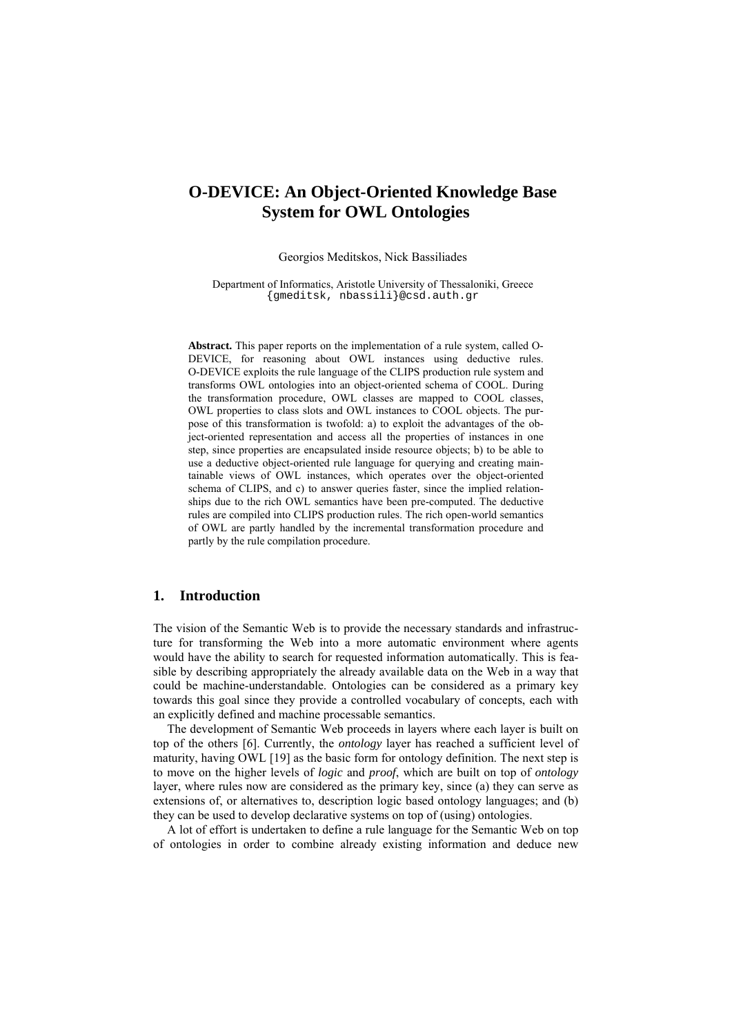# **O-DEVICE: An Object-Oriented Knowledge Base System for OWL Ontologies**

Georgios Meditskos, Nick Bassiliades

Department of Informatics, Aristotle University of Thessaloniki, Greece {gmeditsk, nbassili}@csd.auth.gr

**Abstract.** This paper reports on the implementation of a rule system, called O-DEVICE, for reasoning about OWL instances using deductive rules. O-DEVICE exploits the rule language of the CLIPS production rule system and transforms OWL ontologies into an object-oriented schema of COOL. During the transformation procedure, OWL classes are mapped to COOL classes, OWL properties to class slots and OWL instances to COOL objects. The purpose of this transformation is twofold: a) to exploit the advantages of the object-oriented representation and access all the properties of instances in one step, since properties are encapsulated inside resource objects; b) to be able to use a deductive object-oriented rule language for querying and creating maintainable views of OWL instances, which operates over the object-oriented schema of CLIPS, and c) to answer queries faster, since the implied relationships due to the rich OWL semantics have been pre-computed. The deductive rules are compiled into CLIPS production rules. The rich open-world semantics of OWL are partly handled by the incremental transformation procedure and partly by the rule compilation procedure.

### **1. Introduction**

The vision of the Semantic Web is to provide the necessary standards and infrastructure for transforming the Web into a more automatic environment where agents would have the ability to search for requested information automatically. This is feasible by describing appropriately the already available data on the Web in a way that could be machine-understandable. Ontologies can be considered as a primary key towards this goal since they provide a controlled vocabulary of concepts, each with an explicitly defined and machine processable semantics.

The development of Semantic Web proceeds in layers where each layer is built on top of the others [6]. Currently, the *ontology* layer has reached a sufficient level of maturity, having OWL [19] as the basic form for ontology definition. The next step is to move on the higher levels of *logic* and *proof*, which are built on top of *ontology* layer, where rules now are considered as the primary key, since (a) they can serve as extensions of, or alternatives to, description logic based ontology languages; and (b) they can be used to develop declarative systems on top of (using) ontologies.

A lot of effort is undertaken to define a rule language for the Semantic Web on top of ontologies in order to combine already existing information and deduce new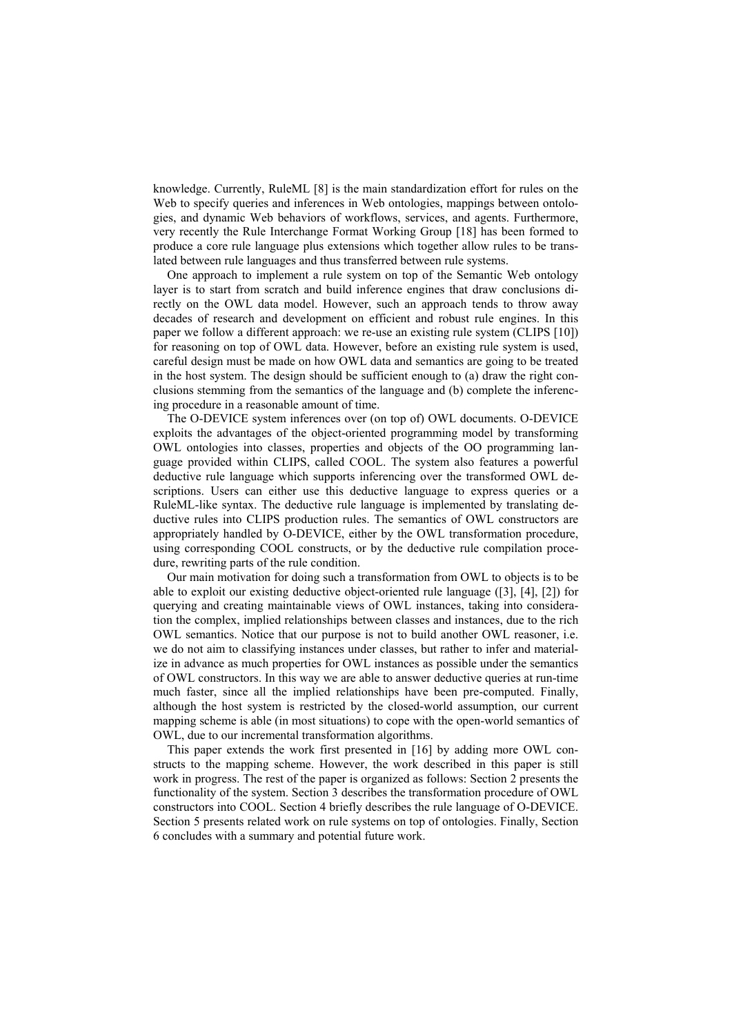knowledge. Currently, RuleML [8] is the main standardization effort for rules on the Web to specify queries and inferences in Web ontologies, mappings between ontologies, and dynamic Web behaviors of workflows, services, and agents. Furthermore, very recently the Rule Interchange Format Working Group [18] has been formed to produce a core rule language plus extensions which together allow rules to be translated between rule languages and thus transferred between rule systems.

One approach to implement a rule system on top of the Semantic Web ontology layer is to start from scratch and build inference engines that draw conclusions directly on the OWL data model. However, such an approach tends to throw away decades of research and development on efficient and robust rule engines. In this paper we follow a different approach: we re-use an existing rule system (CLIPS [10]) for reasoning on top of OWL data. However, before an existing rule system is used, careful design must be made on how OWL data and semantics are going to be treated in the host system. The design should be sufficient enough to (a) draw the right conclusions stemming from the semantics of the language and (b) complete the inferencing procedure in a reasonable amount of time.

The O-DEVICE system inferences over (on top of) OWL documents. O-DEVICE exploits the advantages of the object-oriented programming model by transforming OWL ontologies into classes, properties and objects of the OO programming language provided within CLIPS, called COOL. The system also features a powerful deductive rule language which supports inferencing over the transformed OWL descriptions. Users can either use this deductive language to express queries or a RuleML-like syntax. The deductive rule language is implemented by translating deductive rules into CLIPS production rules. The semantics of OWL constructors are appropriately handled by O-DEVICE, either by the OWL transformation procedure, using corresponding COOL constructs, or by the deductive rule compilation procedure, rewriting parts of the rule condition.

Our main motivation for doing such a transformation from OWL to objects is to be able to exploit our existing deductive object-oriented rule language ([3], [4], [2]) for querying and creating maintainable views of OWL instances, taking into consideration the complex, implied relationships between classes and instances, due to the rich OWL semantics. Notice that our purpose is not to build another OWL reasoner, i.e. we do not aim to classifying instances under classes, but rather to infer and materialize in advance as much properties for OWL instances as possible under the semantics of OWL constructors. In this way we are able to answer deductive queries at run-time much faster, since all the implied relationships have been pre-computed. Finally, although the host system is restricted by the closed-world assumption, our current mapping scheme is able (in most situations) to cope with the open-world semantics of OWL, due to our incremental transformation algorithms.

This paper extends the work first presented in [16] by adding more OWL constructs to the mapping scheme. However, the work described in this paper is still work in progress. The rest of the paper is organized as follows: Section 2 presents the functionality of the system. Section 3 describes the transformation procedure of OWL constructors into COOL. Section 4 briefly describes the rule language of O-DEVICE. Section 5 presents related work on rule systems on top of ontologies. Finally, Section 6 concludes with a summary and potential future work.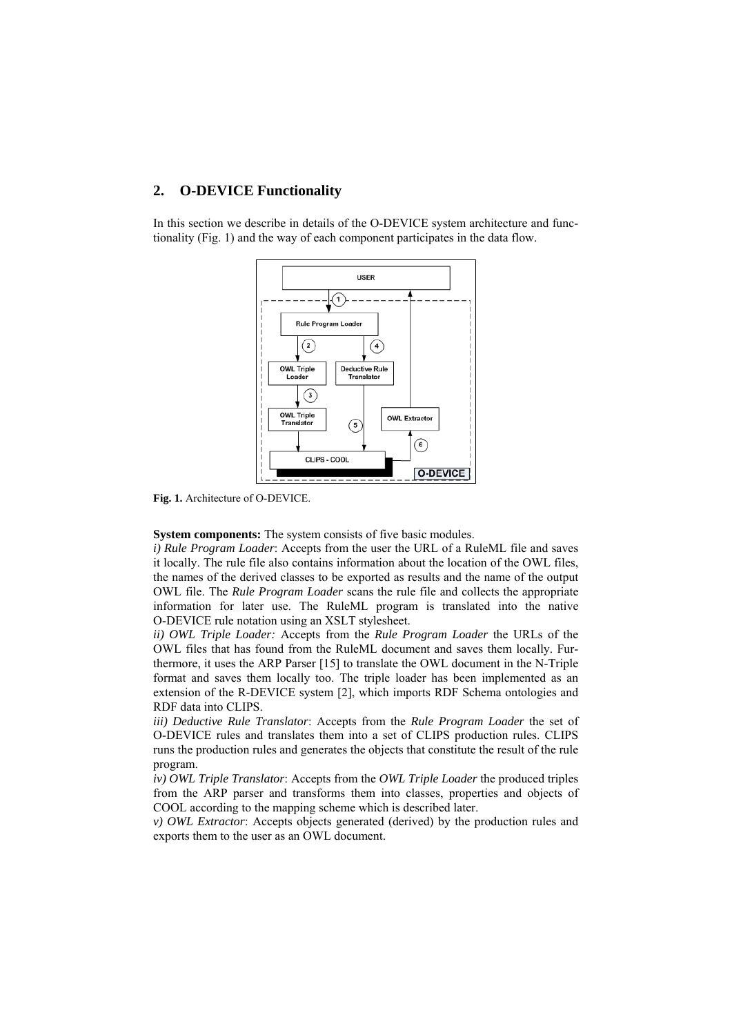# **2. O-DEVICE Functionality**

In this section we describe in details of the O-DEVICE system architecture and functionality (Fig. 1) and the way of each component participates in the data flow.



**Fig. 1.** Architecture of O-DEVICE.

**System components:** The system consists of five basic modules.

*i) Rule Program Loader*: Accepts from the user the URL of a RuleML file and saves it locally. The rule file also contains information about the location of the OWL files, the names of the derived classes to be exported as results and the name of the output OWL file. The *Rule Program Loader* scans the rule file and collects the appropriate information for later use. The RuleML program is translated into the native O-DEVICE rule notation using an XSLT stylesheet.

*ii) OWL Triple Loader:* Accepts from the *Rule Program Loader* the URLs of the OWL files that has found from the RuleML document and saves them locally. Furthermore, it uses the ARP Parser [15] to translate the OWL document in the N-Triple format and saves them locally too. The triple loader has been implemented as an extension of the R-DEVICE system [2], which imports RDF Schema ontologies and RDF data into CLIPS.

*iii) Deductive Rule Translator*: Accepts from the *Rule Program Loader* the set of O-DEVICE rules and translates them into a set of CLIPS production rules. CLIPS runs the production rules and generates the objects that constitute the result of the rule program.

*iv) OWL Triple Translator*: Accepts from the *OWL Triple Loader* the produced triples from the ARP parser and transforms them into classes, properties and objects of COOL according to the mapping scheme which is described later.

*v) OWL Extractor*: Accepts objects generated (derived) by the production rules and exports them to the user as an OWL document.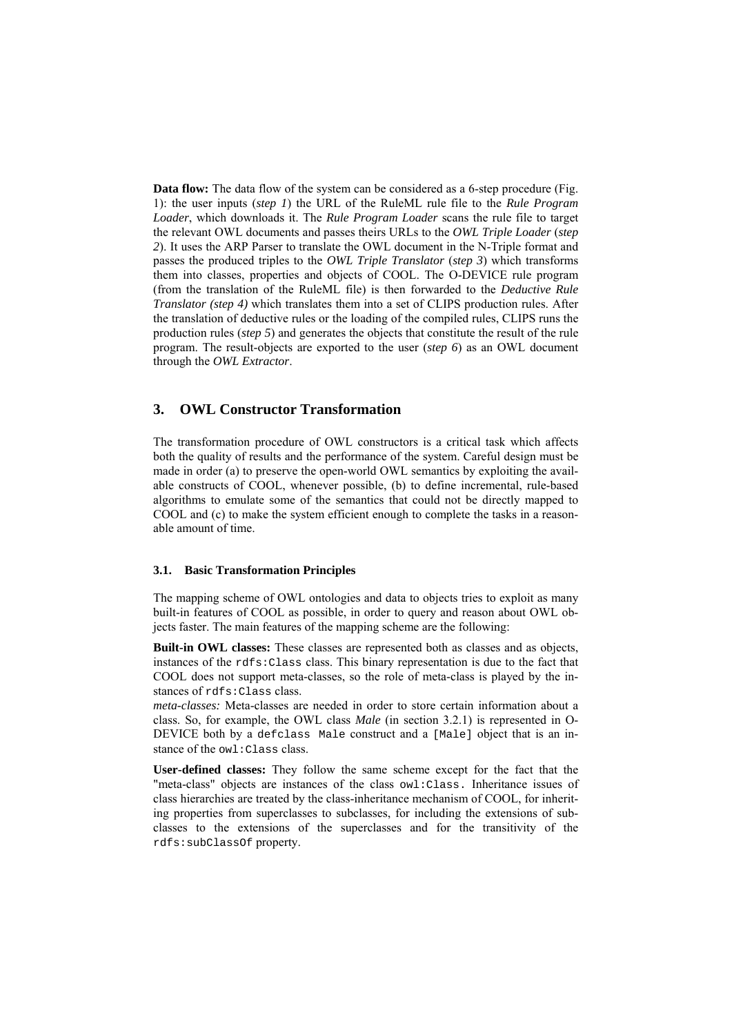**Data flow:** The data flow of the system can be considered as a 6-step procedure (Fig. 1): the user inputs (*step 1*) the URL of the RuleML rule file to the *Rule Program Loader*, which downloads it. The *Rule Program Loader* scans the rule file to target the relevant OWL documents and passes theirs URLs to the *OWL Triple Loader* (*step 2*). It uses the ARP Parser to translate the OWL document in the N-Triple format and passes the produced triples to the *OWL Triple Translator* (*step 3*) which transforms them into classes, properties and objects of COOL. The O-DEVICE rule program (from the translation of the RuleML file) is then forwarded to the *Deductive Rule Translator (step 4)* which translates them into a set of CLIPS production rules. After the translation of deductive rules or the loading of the compiled rules, CLIPS runs the production rules (*step 5*) and generates the objects that constitute the result of the rule program. The result-objects are exported to the user (*step 6*) as an OWL document through the *OWL Extractor*.

# **3. OWL Constructor Transformation**

The transformation procedure of OWL constructors is a critical task which affects both the quality of results and the performance of the system. Careful design must be made in order (a) to preserve the open-world OWL semantics by exploiting the available constructs of COOL, whenever possible, (b) to define incremental, rule-based algorithms to emulate some of the semantics that could not be directly mapped to COOL and (c) to make the system efficient enough to complete the tasks in a reasonable amount of time.

### **3.1. Basic Transformation Principles**

The mapping scheme of OWL ontologies and data to objects tries to exploit as many built-in features of COOL as possible, in order to query and reason about OWL objects faster. The main features of the mapping scheme are the following:

**Built-in OWL classes:** These classes are represented both as classes and as objects, instances of the rdfs:Class class. This binary representation is due to the fact that COOL does not support meta-classes, so the role of meta-class is played by the instances of rdfs:Class class.

*meta-classes:* Meta-classes are needed in order to store certain information about a class. So, for example, the OWL class *Male* (in section 3.2.1) is represented in O-DEVICE both by a defclass Male construct and a [Male] object that is an instance of the owl: Class class.

**User-defined classes:** They follow the same scheme except for the fact that the "meta-class" objects are instances of the class owl:Class. Inheritance issues of class hierarchies are treated by the class-inheritance mechanism of COOL, for inheriting properties from superclasses to subclasses, for including the extensions of subclasses to the extensions of the superclasses and for the transitivity of the rdfs:subClassOf property.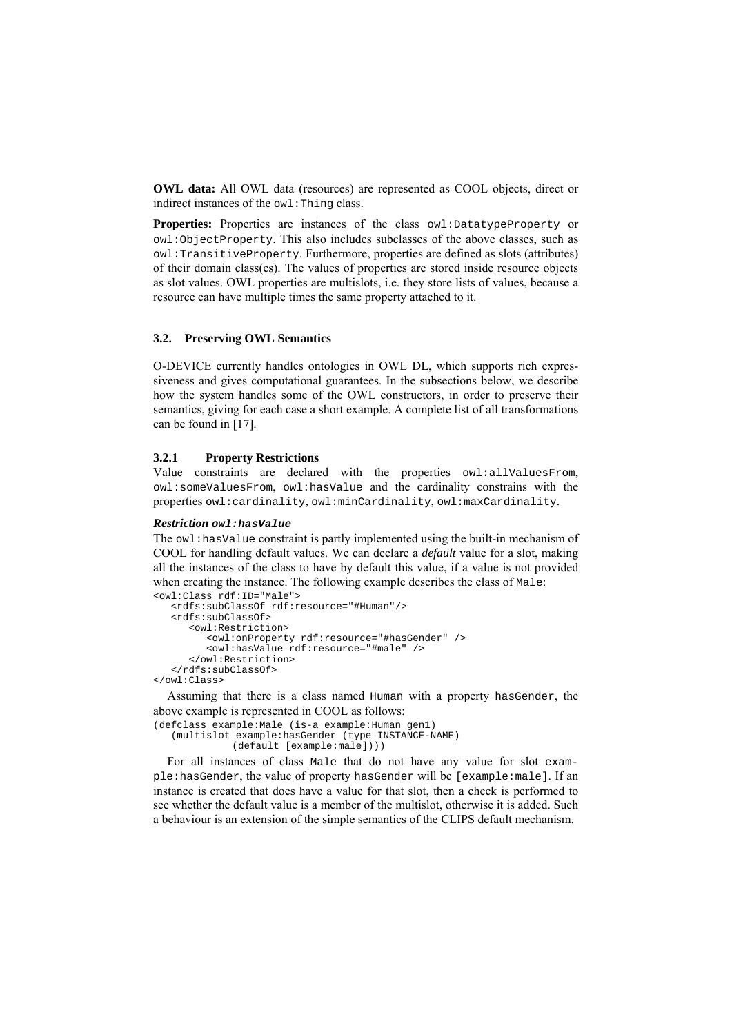**OWL data:** All OWL data (resources) are represented as COOL objects, direct or indirect instances of the owl:Thing class.

**Properties:** Properties are instances of the class owl:DatatypeProperty or owl:ObjectProperty. This also includes subclasses of the above classes, such as owl:TransitiveProperty. Furthermore, properties are defined as slots (attributes) of their domain class(es). The values of properties are stored inside resource objects as slot values. OWL properties are multislots, i.e. they store lists of values, because a resource can have multiple times the same property attached to it.

#### **3.2. Preserving OWL Semantics**

O-DEVICE currently handles ontologies in OWL DL, which supports rich expressiveness and gives computational guarantees. In the subsections below, we describe how the system handles some of the OWL constructors, in order to preserve their semantics, giving for each case a short example. A complete list of all transformations can be found in [17].

#### **3.2.1 Property Restrictions**

Value constraints are declared with the properties owl:allValuesFrom, owl:someValuesFrom, owl:hasValue and the cardinality constrains with the properties owl:cardinality, owl:minCardinality, owl:maxCardinality.

#### *Restriction owl:hasValue*

The owl:hasValue constraint is partly implemented using the built-in mechanism of COOL for handling default values. We can declare a *default* value for a slot, making all the instances of the class to have by default this value, if a value is not provided when creating the instance. The following example describes the class of Male: <owl:Class rdf:ID="Male">

```
 <rdfs:subClassOf rdf:resource="#Human"/> 
    <rdfs:subClassOf> 
       <owl:Restriction> 
          <owl:onProperty rdf:resource="#hasGender" /> 
          <owl:hasValue rdf:resource="#male" /> 
       </owl:Restriction> 
    </rdfs:subClassOf> 
</owl:Class>
```
Assuming that there is a class named Human with a property hasGender, the above example is represented in COOL as follows:

```
(defclass example:Male (is-a example:Human gen1) 
    (multislot example:hasGender (type INSTANCE-NAME) 
               (default [example:male])))
```
For all instances of class Male that do not have any value for slot example:hasGender, the value of property hasGender will be [example:male]. If an instance is created that does have a value for that slot, then a check is performed to see whether the default value is a member of the multislot, otherwise it is added. Such a behaviour is an extension of the simple semantics of the CLIPS default mechanism.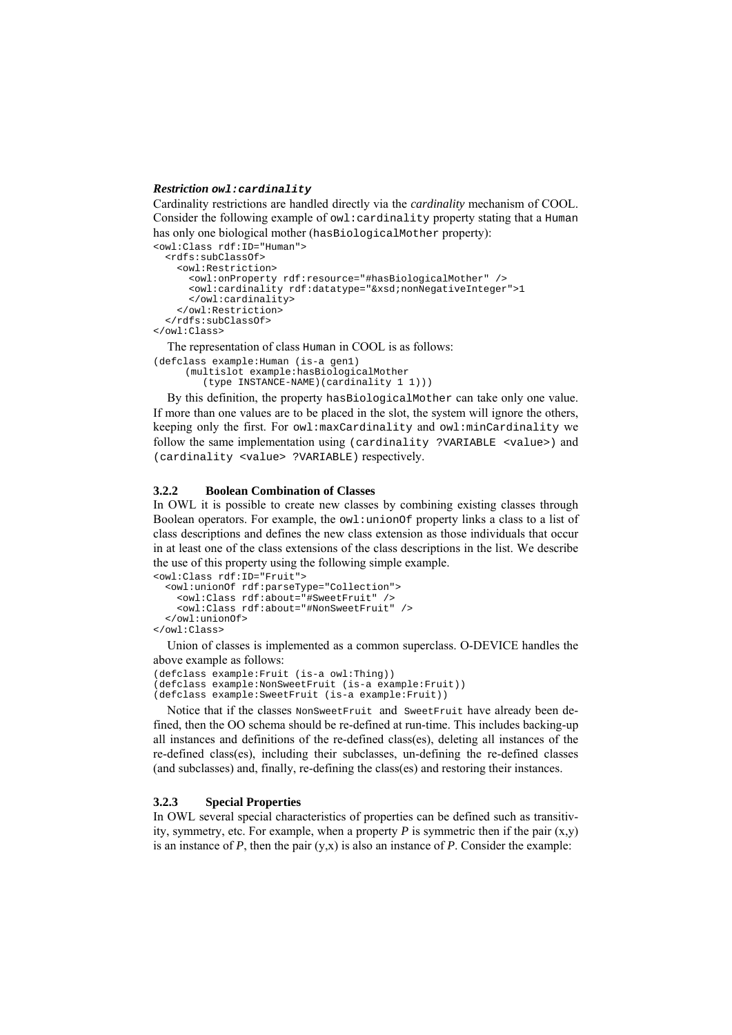#### *Restriction owl:cardinality*

Cardinality restrictions are handled directly via the *cardinality* mechanism of COOL. Consider the following example of owl:cardinality property stating that a Human has only one biological mother (hasBiologicalMother property):

```
<owl:Class rdf:ID="Human"> 
   <rdfs:subClassOf> 
     <owl:Restriction> 
       <owl:onProperty rdf:resource="#hasBiologicalMother" /> 
       <owl:cardinality rdf:datatype="&xsd;nonNegativeInteger">1 
       </owl:cardinality> 
     </owl:Restriction> 
   </rdfs:subClassOf> 
</owl:Class>
```
The representation of class Human in COOL is as follows:

```
(defclass example:Human (is-a gen1) 
      (multislot example:hasBiologicalMother 
         (type INSTANCE-NAME)(cardinality 1 1)))
```
By this definition, the property hasBiologicalMother can take only one value. If more than one values are to be placed in the slot, the system will ignore the others, keeping only the first. For owl:maxCardinality and owl:minCardinality we follow the same implementation using (cardinality ?VARIABLE <value>) and (cardinality <value> ?VARIABLE) respectively.

### **3.2.2 Boolean Combination of Classes**

In OWL it is possible to create new classes by combining existing classes through Boolean operators. For example, the owl:unionOf property links a class to a list of class descriptions and defines the new class extension as those individuals that occur in at least one of the class extensions of the class descriptions in the list. We describe the use of this property using the following simple example.

```
<owl:Class rdf:ID="Fruit"> 
   <owl:unionOf rdf:parseType="Collection"> 
     <owl:Class rdf:about="#SweetFruit" /> 
     <owl:Class rdf:about="#NonSweetFruit" /> 
   </owl:unionOf> 
</owl:Class>
```
Union of classes is implemented as a common superclass. O-DEVICE handles the above example as follows:

```
(defclass example:Fruit (is-a owl:Thing)) 
(defclass example:NonSweetFruit (is-a example:Fruit)) 
(defclass example:SweetFruit (is-a example:Fruit))
```
Notice that if the classes NonSweetFruit and SweetFruit have already been defined, then the OO schema should be re-defined at run-time. This includes backing-up all instances and definitions of the re-defined class(es), deleting all instances of the re-defined class(es), including their subclasses, un-defining the re-defined classes (and subclasses) and, finally, re-defining the class(es) and restoring their instances.

## **3.2.3 Special Properties**

In OWL several special characteristics of properties can be defined such as transitivity, symmetry, etc. For example, when a property  $P$  is symmetric then if the pair  $(x,y)$ is an instance of  $P$ , then the pair  $(y,x)$  is also an instance of  $P$ . Consider the example: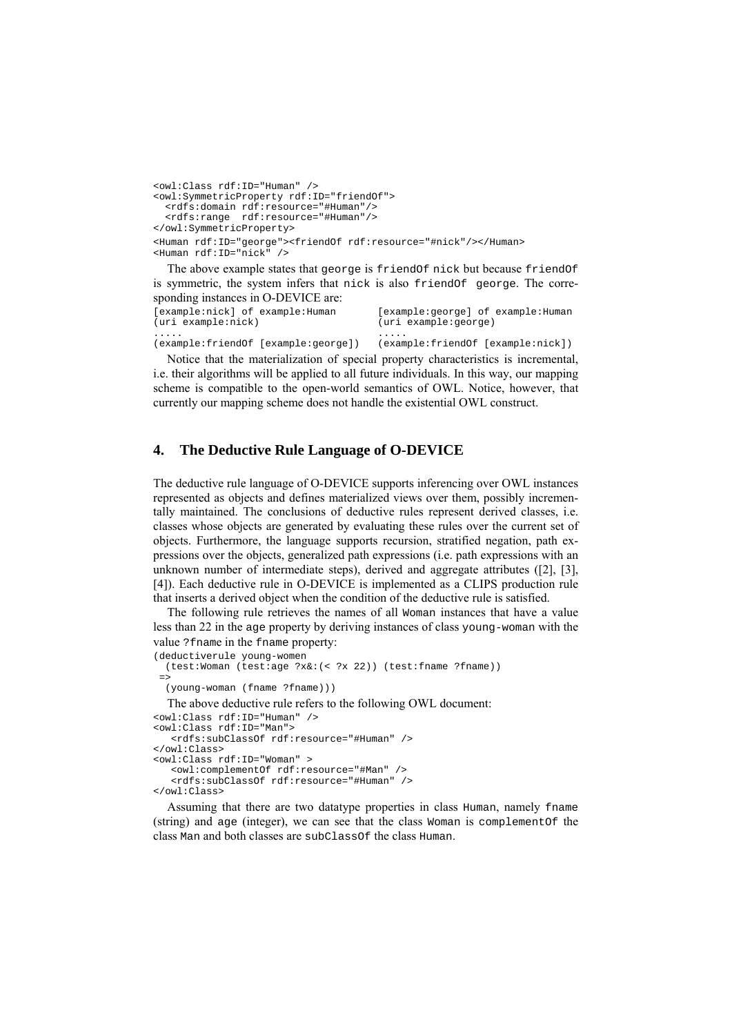```
<owl:Class rdf:ID="Human" /> 
<owl:SymmetricProperty rdf:ID="friendOf"> 
   <rdfs:domain rdf:resource="#Human"/> 
   <rdfs:range rdf:resource="#Human"/> 
</owl:SymmetricProperty> 
<Human rdf:ID="george"><friendOf rdf:resource="#nick"/></Human> 
<Human rdf:ID="nick" />
```
The above example states that george is friendOf nick but because friendOf is symmetric, the system infers that nick is also friendOf george. The corresponding instances in O-DEVICE are:

[example:nick] of example:Human [example:george] of example:Human (uri example:nick) (uri example:george) ..... .....

(example:friendOf [example:george]) (example:friendOf [example:nick])

Notice that the materialization of special property characteristics is incremental, i.e. their algorithms will be applied to all future individuals. In this way, our mapping scheme is compatible to the open-world semantics of OWL. Notice, however, that currently our mapping scheme does not handle the existential OWL construct.

# **4. The Deductive Rule Language of O-DEVICE**

The deductive rule language of O-DEVICE supports inferencing over OWL instances represented as objects and defines materialized views over them, possibly incrementally maintained. The conclusions of deductive rules represent derived classes, i.e. classes whose objects are generated by evaluating these rules over the current set of objects. Furthermore, the language supports recursion, stratified negation, path expressions over the objects, generalized path expressions (i.e. path expressions with an unknown number of intermediate steps), derived and aggregate attributes ([2], [3], [4]). Each deductive rule in O-DEVICE is implemented as a CLIPS production rule that inserts a derived object when the condition of the deductive rule is satisfied.

The following rule retrieves the names of all Woman instances that have a value less than 22 in the age property by deriving instances of class young-woman with the value ?fname in the fname property:

```
(deductiverule young-women 
  (test:Woman (test:age ?x&:(< ?x 22)) (test:fname ?fname)) 
 => 
  (young-woman (fname ?fname))) 
  The above deductive rule refers to the following OWL document: 
<owl:Class rdf:ID="Human" /> 
<owl:Class rdf:ID="Man"> 
    <rdfs:subClassOf rdf:resource="#Human" /> 
</owl:Class> 
<owl:Class rdf:ID="Woman" > 
    <owl:complementOf rdf:resource="#Man" /> 
    <rdfs:subClassOf rdf:resource="#Human" /> 
</owl:Class>
```
Assuming that there are two datatype properties in class Human, namely fname (string) and age (integer), we can see that the class Woman is complementOf the class Man and both classes are subClassOf the class Human.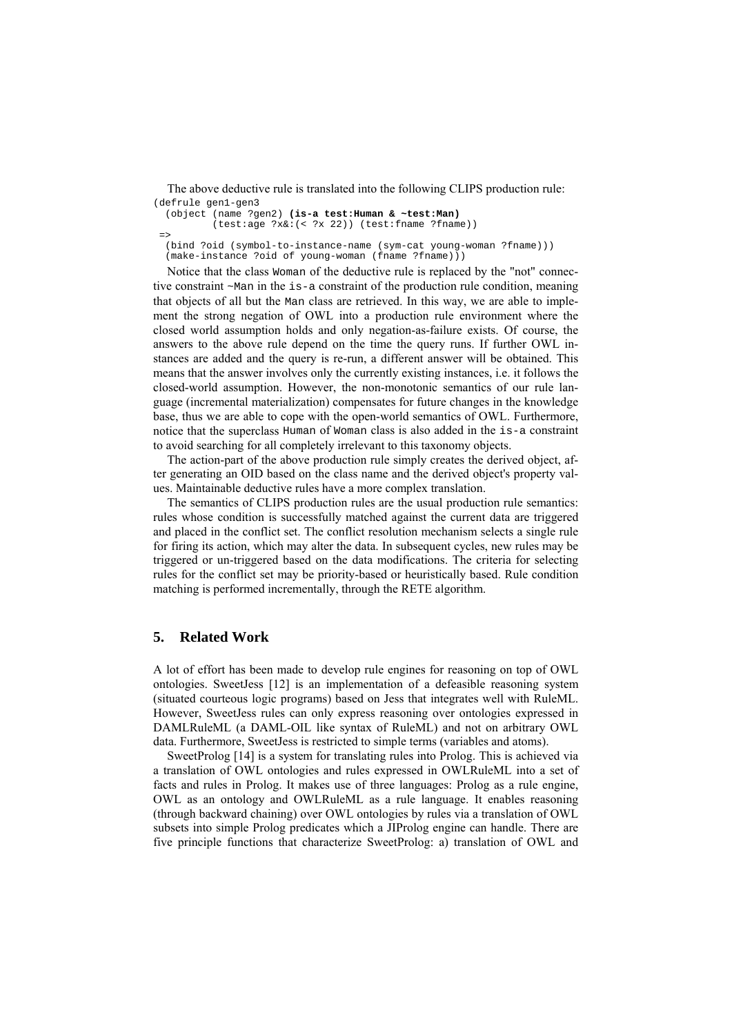The above deductive rule is translated into the following CLIPS production rule: (defrule gen1-gen3

```
 (object (name ?gen2) (is-a test:Human & ~test:Man) 
           (test:age ?x&:(< ?x 22)) (test:fname ?fname)) 
 => 
  (bind ?oid (symbol-to-instance-name (sym-cat young-woman ?fname))) 
   (make-instance ?oid of young-woman (fname ?fname)))
```
Notice that the class Woman of the deductive rule is replaced by the "not" connective constraint ~Man in the is-a constraint of the production rule condition, meaning that objects of all but the Man class are retrieved. In this way, we are able to implement the strong negation of OWL into a production rule environment where the closed world assumption holds and only negation-as-failure exists. Of course, the answers to the above rule depend on the time the query runs. If further OWL instances are added and the query is re-run, a different answer will be obtained. This means that the answer involves only the currently existing instances, i.e. it follows the closed-world assumption. However, the non-monotonic semantics of our rule language (incremental materialization) compensates for future changes in the knowledge base, thus we are able to cope with the open-world semantics of OWL. Furthermore, notice that the superclass Human of Woman class is also added in the is-a constraint to avoid searching for all completely irrelevant to this taxonomy objects.

The action-part of the above production rule simply creates the derived object, after generating an OID based on the class name and the derived object's property values. Maintainable deductive rules have a more complex translation.

The semantics of CLIPS production rules are the usual production rule semantics: rules whose condition is successfully matched against the current data are triggered and placed in the conflict set. The conflict resolution mechanism selects a single rule for firing its action, which may alter the data. In subsequent cycles, new rules may be triggered or un-triggered based on the data modifications. The criteria for selecting rules for the conflict set may be priority-based or heuristically based. Rule condition matching is performed incrementally, through the RETE algorithm.

# **5. Related Work**

A lot of effort has been made to develop rule engines for reasoning on top of OWL ontologies. SweetJess [12] is an implementation of a defeasible reasoning system (situated courteous logic programs) based on Jess that integrates well with RuleML. However, SweetJess rules can only express reasoning over ontologies expressed in DAMLRuleML (a DAML-OIL like syntax of RuleML) and not on arbitrary OWL data. Furthermore, SweetJess is restricted to simple terms (variables and atoms).

SweetProlog [14] is a system for translating rules into Prolog. This is achieved via a translation of OWL ontologies and rules expressed in OWLRuleML into a set of facts and rules in Prolog. It makes use of three languages: Prolog as a rule engine, OWL as an ontology and OWLRuleML as a rule language. It enables reasoning (through backward chaining) over OWL ontologies by rules via a translation of OWL subsets into simple Prolog predicates which a JIProlog engine can handle. There are five principle functions that characterize SweetProlog: a) translation of OWL and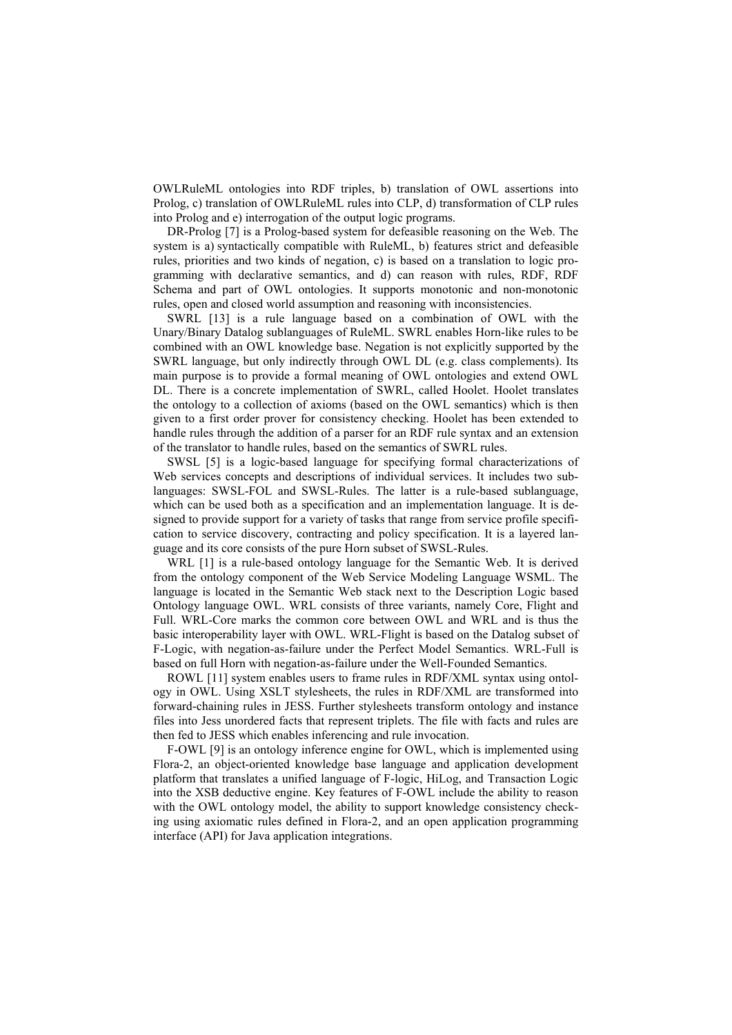OWLRuleML ontologies into RDF triples, b) translation of OWL assertions into Prolog, c) translation of OWLRuleML rules into CLP, d) transformation of CLP rules into Prolog and e) interrogation of the output logic programs.

DR-Prolog [7] is a Prolog-based system for defeasible reasoning on the Web. The system is a) syntactically compatible with RuleML, b) features strict and defeasible rules, priorities and two kinds of negation, c) is based on a translation to logic programming with declarative semantics, and d) can reason with rules, RDF, RDF Schema and part of OWL ontologies. It supports monotonic and non-monotonic rules, open and closed world assumption and reasoning with inconsistencies.

SWRL [13] is a rule language based on a combination of OWL with the Unary/Binary Datalog sublanguages of RuleML. SWRL enables Horn-like rules to be combined with an OWL knowledge base. Negation is not explicitly supported by the SWRL language, but only indirectly through OWL DL (e.g. class complements). Its main purpose is to provide a formal meaning of OWL ontologies and extend OWL DL. There is a concrete implementation of SWRL, called Hoolet. Hoolet translates the ontology to a collection of axioms (based on the OWL semantics) which is then given to a first order prover for consistency checking. Hoolet has been extended to handle rules through the addition of a parser for an RDF rule syntax and an extension of the translator to handle rules, based on the semantics of SWRL rules.

SWSL [5] is a logic-based language for specifying formal characterizations of Web services concepts and descriptions of individual services. It includes two sublanguages: SWSL-FOL and SWSL-Rules. The latter is a rule-based sublanguage, which can be used both as a specification and an implementation language. It is designed to provide support for a variety of tasks that range from service profile specification to service discovery, contracting and policy specification. It is a layered language and its core consists of the pure Horn subset of SWSL-Rules.

WRL [1] is a rule-based ontology language for the Semantic Web. It is derived from the ontology component of the Web Service Modeling Language WSML. The language is located in the Semantic Web stack next to the Description Logic based Ontology language OWL. WRL consists of three variants, namely Core, Flight and Full. WRL-Core marks the common core between OWL and WRL and is thus the basic interoperability layer with OWL. WRL-Flight is based on the Datalog subset of F-Logic, with negation-as-failure under the Perfect Model Semantics. WRL-Full is based on full Horn with negation-as-failure under the Well-Founded Semantics.

ROWL [11] system enables users to frame rules in RDF/XML syntax using ontology in OWL. Using XSLT stylesheets, the rules in RDF/XML are transformed into forward-chaining rules in JESS. Further stylesheets transform ontology and instance files into Jess unordered facts that represent triplets. The file with facts and rules are then fed to JESS which enables inferencing and rule invocation.

F-OWL [9] is an ontology inference engine for OWL, which is implemented using Flora-2, an object-oriented knowledge base language and application development platform that translates a unified language of F-logic, HiLog, and Transaction Logic into the XSB deductive engine. Key features of F-OWL include the ability to reason with the OWL ontology model, the ability to support knowledge consistency checking using axiomatic rules defined in Flora-2, and an open application programming interface (API) for Java application integrations.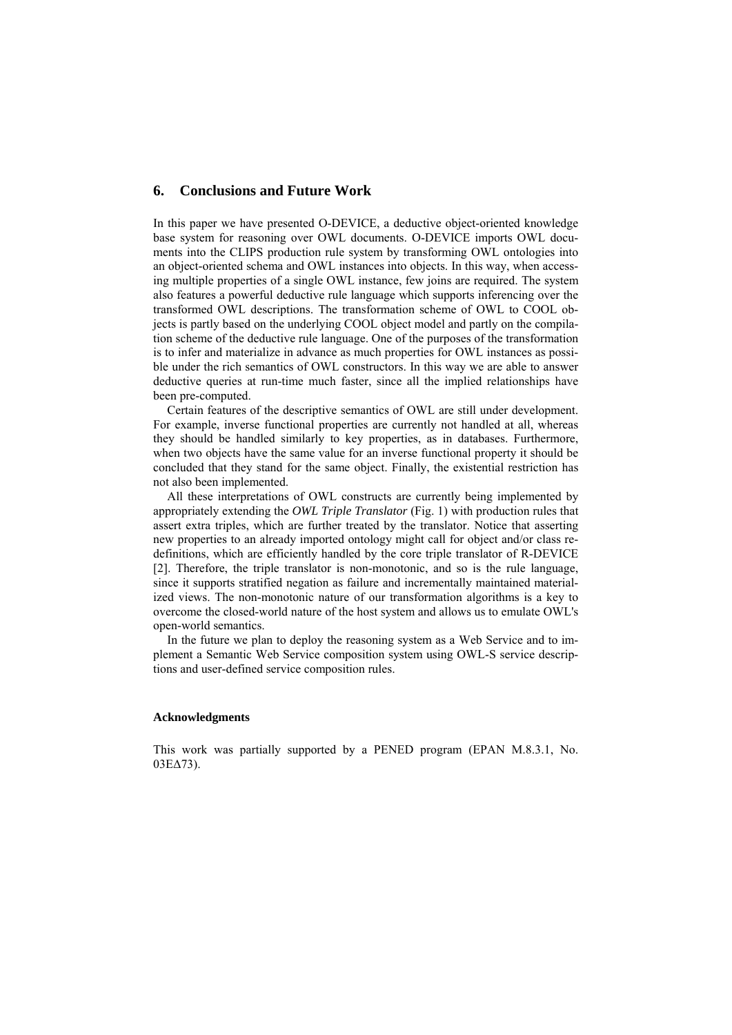# **6. Conclusions and Future Work**

In this paper we have presented O-DEVICE, a deductive object-oriented knowledge base system for reasoning over OWL documents. O-DEVICE imports OWL documents into the CLIPS production rule system by transforming OWL ontologies into an object-oriented schema and OWL instances into objects. In this way, when accessing multiple properties of a single OWL instance, few joins are required. The system also features a powerful deductive rule language which supports inferencing over the transformed OWL descriptions. The transformation scheme of OWL to COOL objects is partly based on the underlying COOL object model and partly on the compilation scheme of the deductive rule language. One of the purposes of the transformation is to infer and materialize in advance as much properties for OWL instances as possible under the rich semantics of OWL constructors. In this way we are able to answer deductive queries at run-time much faster, since all the implied relationships have been pre-computed.

Certain features of the descriptive semantics of OWL are still under development. For example, inverse functional properties are currently not handled at all, whereas they should be handled similarly to key properties, as in databases. Furthermore, when two objects have the same value for an inverse functional property it should be concluded that they stand for the same object. Finally, the existential restriction has not also been implemented.

All these interpretations of OWL constructs are currently being implemented by appropriately extending the *OWL Triple Translator* (Fig. 1) with production rules that assert extra triples, which are further treated by the translator. Notice that asserting new properties to an already imported ontology might call for object and/or class redefinitions, which are efficiently handled by the core triple translator of R-DEVICE [2]. Therefore, the triple translator is non-monotonic, and so is the rule language, since it supports stratified negation as failure and incrementally maintained materialized views. The non-monotonic nature of our transformation algorithms is a key to overcome the closed-world nature of the host system and allows us to emulate OWL's open-world semantics.

In the future we plan to deploy the reasoning system as a Web Service and to implement a Semantic Web Service composition system using OWL-S service descriptions and user-defined service composition rules.

## **Acknowledgments**

This work was partially supported by a PENED program (EPAN M.8.3.1, No. 03ΕΔ73).